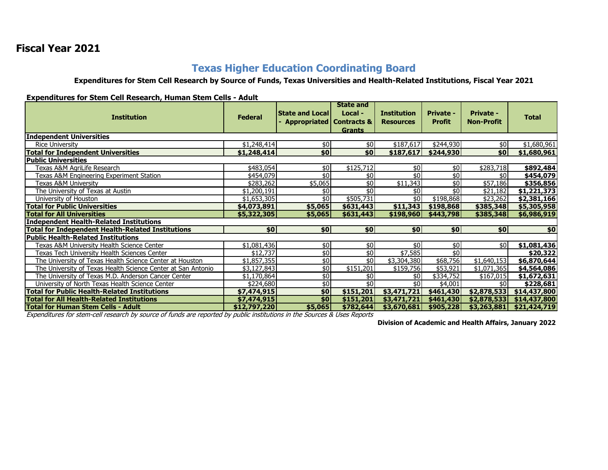## **Fiscal Year 2021**

## **Texas Higher Education Coordinating Board**

**Expenditures for Stem Cell Research by Source of Funds, Texas Universities and Health-Related Institutions, Fiscal Year 2021**

**Expenditures for Stem Cell Research, Human Stem Cells - Adult**

| <b>Institution</b>                                           | <b>Federal</b> | <b>State and Local</b><br>- Appropriated   Contracts & | <b>State and</b><br>Local -<br><b>Grants</b> | <b>Institution</b><br><b>Resources</b> | <b>Private -</b><br><b>Profit</b> | <b>Private -</b><br><b>Non-Profit</b> | <b>Total</b> |  |  |  |  |
|--------------------------------------------------------------|----------------|--------------------------------------------------------|----------------------------------------------|----------------------------------------|-----------------------------------|---------------------------------------|--------------|--|--|--|--|
| Independent Universities                                     |                |                                                        |                                              |                                        |                                   |                                       |              |  |  |  |  |
| Rice University                                              | \$1,248,414    | \$0                                                    | \$0                                          | \$187,617                              | \$244,930                         | \$0 <sub>l</sub>                      | \$1,680,961  |  |  |  |  |
| <b>Total for Independent Universities</b>                    | \$1,248,414    | \$0                                                    | \$0                                          | \$187,617                              | \$244,930                         | \$0                                   | \$1,680,961  |  |  |  |  |
| Public Universities                                          |                |                                                        |                                              |                                        |                                   |                                       |              |  |  |  |  |
| Texas A&M AgriLife Research                                  | \$483,054      | \$0                                                    | \$125,712                                    | \$0                                    | \$0                               | \$283,718                             | \$892,484    |  |  |  |  |
| Texas A&M Engineering Experiment Station                     | \$454,079      | \$0                                                    | \$0                                          | \$0                                    | \$                                | \$0                                   | \$454,079    |  |  |  |  |
| Texas A&M University                                         | \$283,262      | \$5,065                                                | \$0                                          | \$11,343                               | \$0                               | \$57,186                              | \$356,856    |  |  |  |  |
| The University of Texas at Austin                            | \$1,200,191    | \$0                                                    | $\overline{\mathbf{5}}$                      | \$0                                    | $\overline{50}$                   | \$21,182                              | \$1,221,373  |  |  |  |  |
| University of Houston                                        | \$1,653,305    | \$0                                                    | \$505,731                                    | \$0 <sub>l</sub>                       | \$198,868                         | \$23,262                              | \$2,381,166  |  |  |  |  |
| <b>Total for Public Universities</b>                         | \$4,073,891    | \$5,065                                                | \$631,443                                    | \$11,343                               | \$198,868                         | \$385,348                             | \$5,305,958  |  |  |  |  |
| <b>Total for All Universities</b>                            | \$5,322,305    | \$5,065                                                | \$631,443                                    | \$198,960                              | \$443,798                         | \$385,348                             | \$6,986,919  |  |  |  |  |
| <b>Independent Health-Related Institutions</b>               |                |                                                        |                                              |                                        |                                   |                                       |              |  |  |  |  |
| <b>Total for Independent Health-Related Institutions</b>     | \$0            | \$0                                                    | \$0                                          | \$0                                    | \$0                               | \$0 <sub>1</sub>                      | \$0          |  |  |  |  |
| <b>Public Health-Related Institutions</b>                    |                |                                                        |                                              |                                        |                                   |                                       |              |  |  |  |  |
| Texas A&M University Health Science Center                   | \$1,081,436    | \$0                                                    | \$0                                          | \$0                                    | \$0                               | \$0 <sub>l</sub>                      | \$1,081,436  |  |  |  |  |
| Texas Tech University Health Sciences Center                 | \$12,737       | \$0                                                    | \$0                                          | $\overline{$7,585}$                    | $\overline{50}$                   |                                       | \$20,322     |  |  |  |  |
| The University of Texas Health Science Center at Houston     | \$1,857,355    | \$0                                                    | \$0                                          | \$3,304,380                            | \$68,756                          | \$1,640,153                           | \$6,870,644  |  |  |  |  |
| The University of Texas Health Science Center at San Antonio | \$3,127,843    | \$0                                                    | \$151,201                                    | \$159,756                              | \$53,921                          | \$1,071,365                           | \$4,564,086  |  |  |  |  |
| The University of Texas M.D. Anderson Cancer Center          | \$1,170,864    | $\frac{1}{2}$                                          | \$0                                          | \$0                                    | \$334,752                         | \$167,015                             | \$1,672,631  |  |  |  |  |
| University of North Texas Health Science Center              | \$224,680      | \$0                                                    | \$0                                          | \$0                                    | \$4,001                           | \$0                                   | \$228,681    |  |  |  |  |
| <b>Total for Public Health-Related Institutions</b>          | \$7,474,915    | \$0                                                    | \$151,201                                    | \$3,471,721                            | \$461,430                         | \$2,878,533                           | \$14,437,800 |  |  |  |  |
| Total for All Health-Related Institutions                    | \$7,474,915    | \$0 <sub>1</sub>                                       | \$151,201                                    | \$3,471,721                            | \$461,430                         | \$2,878,533                           | \$14,437,800 |  |  |  |  |
| <b>Total for Human Stem Cells - Adult</b>                    | \$12,797,220   | \$5,065                                                | \$782,644                                    | \$3,670,681                            | \$905,228                         | \$3,263,881                           | \$21,424,719 |  |  |  |  |

Expenditures for stem-cell research by source of funds are reported by public institutions in the Sources & Uses Reports

**Division of Academic and Health Affairs, January 2022**